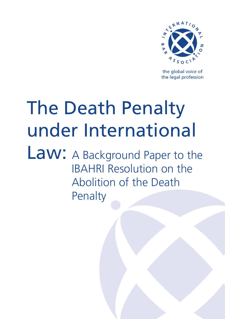

the global voice of the legal profession

# The Death Penalty under International

Law: A Background Paper to the IBAHRI Resolution on the Abolition of the Death Penalty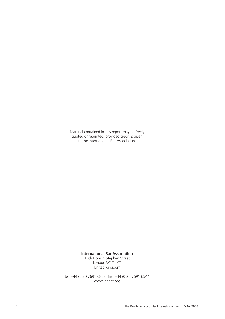Material contained in this report may be freely quoted or reprinted, provided credit is given to the International Bar Association.

#### **International Bar Association**

10th Floor, 1 Stephen Street London W1T 1AT United Kingdom

tel: +44 (0)20 7691 6868. fax: +44 (0)20 7691 6544 www.ibanet.org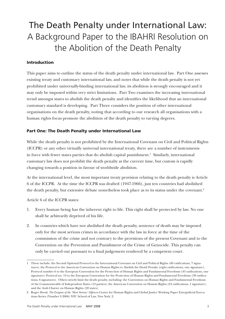# The Death Penalty under International Law: A Background Paper to the IBAHRI Resolution on the Abolition of the Death Penalty

# Introduction

This paper aims to outline the status of the death penalty under international law. Part One assesses existing treaty and customary international law, and notes that while the death penalty is not yet prohibited under universally-binding international law, its abolition is strongly encouraged and it may only be imposed within very strict limitations. Part Two examines the increasing international trend amongst states to abolish the death penalty and identifies the likelihood that an international customary standard is developing. Part Three considers the position of other international organisations on the death penalty, noting that according to our research all organisations with a human rights focus promote the abolition of the death penalty to varying degrees.

### Part One: The Death Penalty under International Law

While the death penalty is not prohibited by the International Covenant on Civil and Political Rights (ICCPR) or any other virtually universal international treaty, there are a number of instruments in force with fewer states parties that do abolish capital punishment. Similarly, international customary law does not prohibit the death penalty at the current time, but custom is rapidly changing towards a position in favour of worldwide abolition.

At the international level, the most important treaty provision relating to the death penalty is Article 6 of the ICCPR. At the time the ICCPR was drafted (1947-1966), just ten countries had abolished the death penalty, but extensive debate nonetheless took place as to its status under the covenant.

Article 6 of the ICCPR states:

- 1. Every human being has the inherent right to life. This right shall be protected by law. No one shall be arbitrarily deprived of his life.
- 2. In countries which have not abolished the death penalty, sentence of death may be imposed only for the most serious crimes in accordance with the law in force at the time of the commission of the crime and not contrary to the provisions of the present Covenant and to the Convention on the Prevention and Punishment of the Crime of Genocide. This penalty can only be carried out pursuant to a final judgement rendered by a competent court.

These include: the Second Optional Protocol to the International Covenant on Civil and Political Rights (60 ratifications, 7 signatures); the Protocol to the American Convention on Human Rights to Abolish the Death Penalty (eight ratifications, one signature); Protocol number 6 to the European Convention for the Protection of Human Rights and Fundamental Freedoms (45 ratifications, one signature); Protocol no. 13 to the European Convention for the Protection of Human Rights and Fundamental Freedoms (38 ratifications, 6 signatures). Others strictly limit the death penalty, including: the Convention on Human Rights and Fundamental Freedoms of the Commonwealth of Independent States (12 parties); the American Convention on Human Rights (24 ratifications, 1 signature); and the Arab Charter on Human Rights (22 states).

Roger Hood, *The Enigma of the 'Most Serious' Offences* Centre for Human Rights and Global Justice Working Paper Extrajudicial Executions Series (Number 9 2006) NYU School of Law, New York, 2.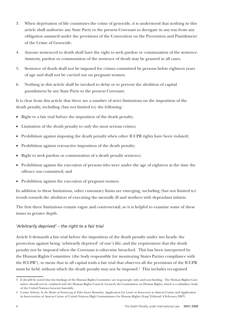- 3. When deprivation of life constitutes the crime of genocide, it is understood that nothing in this article shall authorize any State Party to the present Covenant to derogate in any way from any obligation assumed under the provisions of the Convention on the Prevention and Punishment of the Crime of Genocide.
- 4. Anyone sentenced to death shall have the right to seek pardon or commutation of the sentence. Amnesty, pardon or commutation of the sentence of death may be granted in all cases.
- 5. Sentence of death shall not be imposed for crimes committed by persons below eighteen years of age and shall not be carried out on pregnant women.
- 6. Nothing in this article shall be invoked to delay or to prevent the abolition of capital punishment by any State Party to the present Covenant.

It is clear from this article that there are a number of strict limitations on the imposition of the death penalty, including (but not limited to) the following:

- Right to a fair trial before the imposition of the death penalty;
- Limitation of the death penalty to only the most serious crimes;
- Prohibition against imposing the death penalty when other ICCPR rights have been violated;
- Prohibition against retroactive imposition of the death penalty;
- Right to seek pardon or commutation of a death penalty sentence;
- Prohibition against the execution of persons who were under the age of eighteen at the time the offence was committed; and
- Prohibition against the execution of pregnant women.

In addition to these limitations, other customary limits are emerging, including (but not limited to) trends towards the abolition of executing the mentally ill and mothers with dependant infants.

The first three limitations remain vague and controversial, so it is helpful to examine some of these issues in greater depth.

# *'Arbitrarily deprived' – the right to a fair trial*

Article 6 demands a fair trial before the imposition of the death penalty under two heads: the protection against being 'arbitrarily deprived' of one's life; and the requirement that the death penalty not be imposed when the Covenant is otherwise breached. This has been interpreted by the Human Rights Committee (the body responsible for monitoring States Parties compliance with the ICCPR<sup>3</sup>), to mean that in all capital trials a fair trial that observes all the provisions of the ICCPR must be held, without which the death penalty may not be imposed.<sup>4</sup> This includes recognised

It should be noted that the findings of the Human Rights Committee are in-principle only, and non-binding. The Human Rights Committee should not be confused with the Human Rights Council, formerly the Commission on Human Rights, which is a subsidiary body of the United Nations General Assembly.

Louise Arbour, *In the Matter of Sentencing of Taha Yassin Ramadan,* Application for Leave to Intervene as Amicus Curiae and Application in Intervention of Amicus Curiae of United Nations High Commissioner for Human Rights (Iraqi Tribunal: 8 February 2007)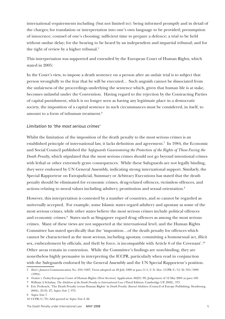international requirements including (but not limited to): being informed promptly and in detail of the charges; for translation or interpretation into one's own language to be provided; presumption of innocence; counsel of one's choosing; sufficient time to prepare a defence; a trial to be held without undue delay; for the hearing to be heard by an independent and impartial tribunal; and for the right of review by a higher tribunal.

This interpretation was supported and extended by the European Court of Human Rights, which stated in 2005:

In the Court's view, to impose a death sentence on a person after an unfair trial is to subject that person wrongfully to the fear that he will be executed… Such anguish cannot be dissociated from the unfairness of the proceedings underlying the sentence which, given that human life is at stake, becomes unlawful under the Convention. Having regard to the rejection by the Contracting Parties of capital punishment, which is no longer seen as having any legitimate place in a democratic society, the imposition of a capital sentence in such circumstances must be considered, in itself, to amount to a form of inhuman treatment.

### *Limitation to 'the most serious crimes'*

Whilst the limitation of the imposition of the death penalty to the most serious crimes is an established principle of international law, it lacks definition and agreement.<sup>7</sup> In 1984, the Economic and Social Council published the *Safeguards Guaranteeing the Protection of the Rights of Those Facing the Death Penalty*, which stipulated that the most serious crimes should not go beyond intentional crimes with lethal or other extremely grave consequences. While these Safeguards are not legally binding, they were endorsed by UN General Assembly, indicating strong international support. Similarly, the Special Rapporteur on Extrajudicial, Summary or Arbitrary Executions has stated that the death penalty should be eliminated for economic crimes, drug-related offences, victimless offences, and actions relating to moral values including adultery, prostitution and sexual orientation.

However, this interpretation is contested by a number of countries, and so cannot be regarded as universally accepted. For example, some Islamic states regard adultery and apostasy as some of the most serious crimes, while other states believe the most serious crimes include political offences and economic crimes.<sup>9</sup> States such as Singapore regard drug offences as among the most serious crimes. Many of these views are not supported at the international level, and the Human Rights Committee has stated specifically that the 'imposition…of the death penalty for offences which cannot be characterised as the most serious, including apostasy, committing a homosexual act, illicit sex, embezzlement by officials, and theft by force, is incompatible with Article 6 of the Covenant'.<sup>10</sup> Other areas remain in contention. While the Committee's findings are non-binding, they are nonetheless highly persuasive in interpreting the ICCPR, particularly when read in conjunction with the Safeguards endorsed by the General Assembly and the UN Special Rapporteur's position.

10 CCPR/C/79/Add quoted in *Supra Note 8*, 26

*Reid v Jamaica* Communication No. 250/1987, Views adopted on 20 July 1990 at para 11.5, U.N. Doc. CCPR/C/51/D/355/1989 (1994).

*Ocalan v Turkey* European Court of Human Rights (First Section) Application 46221/99, Judgement of 12 May 2005 at para 169.

William A Schabas, *The Abolition of the Death Penalty in International Law* (Third Edition: Cambridge UP, 2002), 373.

Eric Prokosch, 'The Death Penalty versus Human Rights' in *Death Penalty: Beyond Abolition* (Council of Europe Publishing: Strasbourg, 2004), 23-35, 27; *Supra Note 7,* 373.

*Supra Note 7*.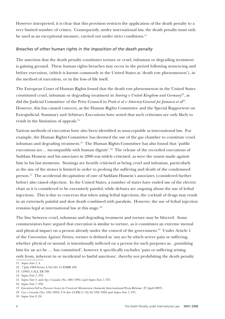However interpreted, it is clear that this provision restricts the application of the death penalty to a very limited number of crimes. Consequently, under international law, the death penalty must only be used as an exceptional measure, carried out under strict conditions.<sup>11</sup>

## *Breaches of other human rights in the imposition of the death penalty*

The assertion that the death penalty constitutes torture or cruel, inhuman or degrading treatment is gaining ground. These human rights breaches may occur in the period following sentencing and before execution, (which is known commonly in the United States as 'death row phenomenon'), in the method of execution, or in the loss of life itself.

The European Court of Human Rights found that the death row phenomenon in the United States constituted cruel, inhuman or degrading treatment in *Soering v United Kingdom and Germany*<sup>12</sup>*,* as did the Judicial Committee of the Privy Council in *Pratt et al v Attorney-General for Jamaica et al*<sup>13</sup>. However, this has caused concern, as the Human Rights Committee and the Special Rapporteur on Extrajudicial, Summary and Arbitrary Executions have noted that such criticisms are only likely to result in the limitation of appeals.<sup>14</sup>

Various methods of execution have also been identified as unacceptable at international law. For example, the Human Rights Committee has deemed the use of the gas chamber to constitute cruel, inhuman and degrading treatment.15 The Human Rights Committee has also found that 'public executions are... incompatible with human dignity'.<sup>16</sup> The release of the recorded executions of Saddam Hussein and his associates in 2006 was widely criticised, as were the taunts made against him in his last moments. Stonings are heavily criticised as being cruel and inhuman, particularly as the size of the stones is limited in order to prolong the suffering and death of the condemned person.<sup>17</sup> The accidental decapitation of one of Saddam Hussein's associates (considered further below) also raised objection. In the United States, a number of states have ended use of the electric chair as it is considered to be excessively painful, while debates are ongoing about the use of lethal injections. This is due to concerns that when using lethal injections, the cocktail of drugs may result in an extremely painful and slow death combined with paralysis. However, the use of lethal injection remains legal at international law at this stage.18

The line between cruel, inhuman and degrading treatment and torture may be blurred. Some commentators have argued that execution is similar to torture, as it constitutes an extreme mental and physical impact on a person already under the control of the government.<sup>19</sup> Under Article 1 of the *Convention Against Torture,* torture is defined as 'any act by which severe pain or suffering, whether physical or mental, is intentionally inflicted on a person for such purposes as…punishing him for an act he ... has committed', however it specifically excludes 'pain or suffering arising only from, inherent in or incidental to lawful sanctions', thereby not prohibiting the death penalty

<sup>11</sup> *Supra Note 1,* 4.

<sup>12</sup> 7 July 1989 Series A Vol 161 11 EHRR 439

<sup>13 [1993] 4</sup> ALL ER 769

<sup>14</sup> *Supra Note 7*, 372.

<sup>15</sup> *Supra Note 4.* and *Ng v Canada* (No. 469/1991) and *Supra Note 7,* 375.

<sup>16</sup> *Supra Note 7.* 376.

<sup>17</sup> *Executions Fall as Pressure Grows for Universal Moratorium* (Amnesty International Press Release: 27 April 2007).

<sup>18</sup> *Cox v Canada* (No. 539/1993) UN doc CCPR/C/52/D/539/1993 and *Supra Note 7,* 375.

<sup>19</sup> *Supra Note 8*, 24.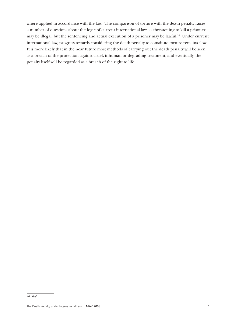where applied in accordance with the law. The comparison of torture with the death penalty raises a number of questions about the logic of current international law, as threatening to kill a prisoner may be illegal, but the sentencing and actual execution of a prisoner may be lawful.<sup>20</sup> Under current international law, progress towards considering the death penalty to constitute torture remains slow. It is more likely that in the near future most methods of carrying out the death penalty will be seen as a breach of the protection against cruel, inhuman or degrading treatment, and eventually, the penalty itself will be regarded as a breach of the right to life.

<sup>20</sup> *Ibid.*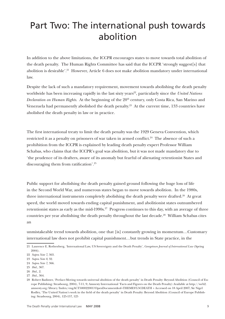# Part Two: The international push towards abolition

In addition to the above limitations, the ICCPR encourages states to move towards total abolition of the death penalty. The Human Rights Committee has said that the ICCPR 'strongly suggest[s] that abolition is desirable'.<sup>21</sup> However, Article 6 does not make abolition mandatory under international law.

Despite the lack of such a mandatory requirement, movement towards abolishing the death penalty worldwide has been increasing rapidly in the last sixty years<sup>22</sup>, particularly since the *United Nations Declaration on Human Rights*. At the beginning of the 20<sup>th</sup> century, only Costa Rica, San Marino and Venezuela had permanently abolished the death penalty.<sup>23</sup> At the current time, 133 countries have abolished the death penalty in law or in practice.

The first international treaty to limit the death penalty was the 1929 Geneva Convention, which restricted it as a penalty on prisoners of war taken in armed conflict.<sup>24</sup> The absence of such a prohibition from the ICCPR is explained by leading death penalty expert Professor William Schabas, who claims that the ICCPR's goal was abolition, but it was not made mandatory due to 'the prudence of its drafters, aware of its anomaly but fearful of alienating retentionist States and discouraging them from ratification'.25

Public support for abolishing the death penalty gained ground following the huge loss of life in the Second World War, and numerous states began to move towards abolition. In the 1980s, three international instruments completely abolishing the death penalty were drafted.<sup>26</sup> At great speed, the world moved towards ending capital punishment, and abolitionist states outnumbered retentionist states as early as the mid-1990s. $27$  Progress continues to this day, with an average of three countries per year abolishing the death penalty throughout the last decade.<sup>28</sup> William Schabas cites an

unmistakeable trend towards abolition, one that [is] constantly growing in momentum…Customary international law does not prohibit capital punishment…but trends in State practice, in the

<sup>21</sup> Laurence E. Rothenberg, 'International Law, US Sovereignty and the Death Penalty', *Georgetown Journal of International Law* (Spring 2004).

<sup>22</sup> *Supra Note 7,* 363.

<sup>23</sup> *Supra Note 8*, 32.

<sup>24</sup> *Supra Note 7,* 366.

<sup>25</sup> *Ibid.*, 367.

<sup>26</sup> *Ibid.,* 2.

<sup>27</sup> *Ibid.*, 364.

<sup>28</sup> Robert Badinter, 'Preface-Moving towards universal abolition of the death penalty' in Death Penalty: Beyond Abolition (Council of Europe Publishing: Strasbourg, 2004), 7-11, 9; Amnesty International 'Facts and Figures on the Death Penalty) Available at http://web2. amnesty.org/library/Index/engACT500022001?OpenDocument&of=THEMES%5CDEATH + Accessed on 18 April 2007; Sir Nigel Rodley, 'The United Nation's work in the field of the death penalty' in Death Penalty: Beyond Abolition (Council of Europe Publishing: Strasbourg, 2004), 125-157, 125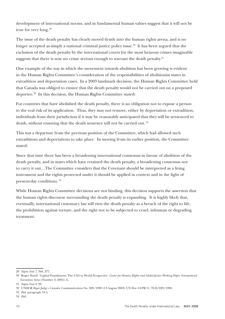development of international norms, and in fundamental human values suggest that it will not be true for very long.29

The issue of the death penalty has clearly moved firmly into the human rights arena, and is no longer accepted as simply a national criminal justice policy issue.<sup>30</sup> It has been argued that the exclusion of the death penalty by the international courts for the most heinous crimes imaginable suggests that there is now no crime serious enough to warrant the death penalty.<sup>31</sup>

One example of the way in which the movement towards abolition has been growing is evident in the Human Rights Committee's consideration of the responsibilities of abolitionist states in extradition and deportation cases. In a 2003 landmark decision, the Human Rights Committee held that Canada was obliged to ensure that the death penalty would not be carried out on a proposed deportee.32 In this decision, the Human Rights Committee stated:

For countries that have abolished the death penalty, there is an obligation not to expose a person to the real risk of its application. Thus, they may not remove, either by deportation or extradition, individuals from their jurisdiction if it may be reasonably anticipated that they will be sentenced to death, without ensuring that the death sentence will not be carried out.<sup>33</sup>

This was a departure from the previous position of the Committee, which had allowed such extraditions and deportations to take place. In moving from its earlier position, the Committee stated:

Since that time there has been a broadening international consensus in favour of abolition of the death penalty, and in states which have retained the death penalty, a broadening consensus not to carry it out…The Committee considers that the Covenant should be interpreted as a living instrument and the rights protected under it should be applied in context and in the light of present-day conditions. 34

While Human Rights Committee decisions are not binding, this decision supports the assertion that the human rights discourse surrounding the death penalty is expanding. It is highly likely that, eventually, international customary law will view the death penalty as a breach of the right to life, the prohibition against torture, and the right not to be subjected to cruel, inhuman or degrading treatment.

<sup>29</sup> *Supra Note 7,* 364, 377.

<sup>30</sup> Roger Hood, 'Capital Punishment: The USA in World Perspective' *Center for Human Rights and Global Justice Working Paper: Extrajudicial Executions Series* (Number 3, 2005), 6.

<sup>31</sup> *Supra Note 8*, 28.

<sup>32</sup> UNHCR *Roger Judge v Canada,* Communication No. 829/1998 (13 August 2003) UN Doc CCPR/C/78.D/829/1998.

<sup>33</sup> *Ibid.* paragraph 10.4.

<sup>34</sup> *Ibid.*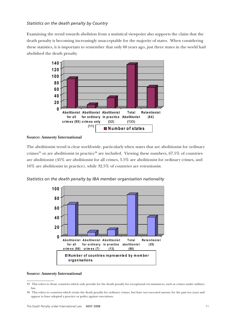## *Statistics on the death penalty by Country*

Examining the trend towards abolition from a statistical viewpoint also supports the claim that the death penalty is becoming increasingly unacceptable for the majority of states. When considering these statistics, it is important to remember that only 60 years ago, just three states in the world had abolished the death penalty.



#### **Source: Amnesty International**

The abolitionist trend is clear world-wide, particularly when states that are abolitionist for ordinary crimes<sup>35</sup> or are abolitionist in practice<sup>36</sup> are included. Viewing these numbers,  $67.5\%$  of countries are abolitionist (45% are abolitionist for all crimes, 5.5% are abolitionist for ordinary crimes, and 16% are abolitionist in practice), while 32.5% of countries are retentionist.

*Statistics on the death penalty by IBA member organisation nationality* 



#### **Source: Amnesty International**

<sup>35</sup> This refers to those countries which only provide for the death penalty for exceptional circumstances, such as crimes under military law.

<sup>36</sup> This refers to countries which retain the death penalty for ordinary crimes, but have not executed anyone for the past ten years and appear to have adopted a practice or policy against executions.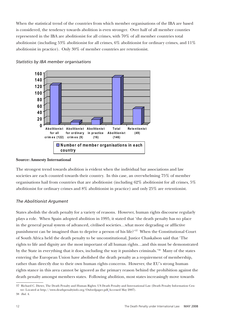When the statistical trend of the countries from which member organisations of the IBA are based is considered, the tendency towards abolition is even stronger. Over half of all member counties represented in the IBA are abolitionist for all crimes, with 70% of all member countries total abolitionist (including 53% abolitionist for all crimes, 6% abolitionist for ordinary crimes, and 11% abolitionist in practice). Only 30% of member countries are retentionist.





#### **Source: Amnesty International**

The strongest trend towards abolition is evident when the individual bar associations and law societies are each counted towards their country. In this case, an overwhelming 75% of member organisations hail from countries that are abolitionist (including 62% abolitionist for all crimes, 5% abolitionist for ordinary crimes and 8% abolitionist in practice) and only 25% are retentionist.

### *The Abolitionist Argument*

States abolish the death penalty for a variety of reasons. However, human rights discourse regularly plays a role. When Spain adopted abolition in 1995, it stated that 'the death penalty has no place in the general penal system of advanced, civilised societies…what more degrading or afflictive punishment can be imagined than to deprive a person of his life?'37 When the Constitutional Court of South Africa held the death penalty to be unconstitutional, Justice Chaskalson said that 'The rights to life and dignity are the most important of all human rights…and this must be demonstrated by the State in everything that it does, including the way it punishes criminals.'38 Many of the states entering the European Union have abolished the death penalty as a requirement of membership, rather than directly due to their own human rights concerns. However, the EU's strong human rights stance in this area cannot be ignored as the primary reason behind the prohibition against the death penalty amongst members states. Following abolition, most states increasingly move towards

<sup>37</sup> Richard C. Dieter, The Death Penalty and Human Rights: US Death Penalty and International Law (Death Penalty Information Centre: Located at http://www.deathpenaltyinfo.org/Oxfordpaper.pdf Accessed May 2007).

<sup>38</sup> *Ibid.* 4.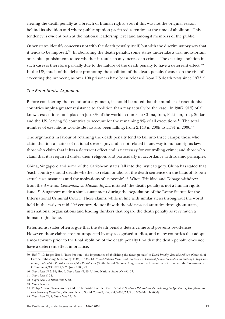viewing the death penalty as a breach of human rights, even if this was not the original reason behind its abolition and where public opinion preferred retention at the time of abolition. This tendency is evident both at the national leadership level and amongst members of the public.

Other states identify concerns not with the death penalty itself, but with the discriminatory way that it tends to be imposed.39 In abolishing the death penalty, some states undertake a trial moratorium on capital punishment, to see whether it results in any increase in crime. The ensuing abolition in such cases is therefore partially due to the failure of the death penalty to have a deterrent effect. <sup>40</sup> In the US, much of the debate promoting the abolition of the death penalty focuses on the risk of executing the innocent, as over 100 prisoners have been released from US death rows since 1973.<sup>41</sup>

## *The Retentionist Argument*

Before considering the retentionist argument, it should be noted that the number of retentionist countries imply a greater resistance to abolition than may actually be the case. In 2007, 91% of all known executions took place in just 3% of the world's countries: China, Iran, Pakistan, Iraq, Sudan and the US, leaving 58 countries to account for the remaining 9% of all executions.<sup>42</sup> The total number of executions worldwide has also been falling, from 2,148 in 2005 to 1,591 in 2006.<sup>43</sup>

The arguments in favour of retaining the death penalty tend to fall into three camps: those who claim that it is a matter of national sovereignty and is not related in any way to human rights law; those who claim that it has a deterrent effect and is necessary for controlling crime; and those who claim that it is required under their religion, and particularly in accordance with Islamic principles.

China, Singapore and some of the Caribbean states fall into the first category. China has stated that 'each country should decide whether to retain or abolish the death sentence on the basis of its own actual circumstances and the aspirations of its people'.44 When Trinidad and Tobago withdrew from the *American Convention on Human Rights,* it stated 'the death penalty is not a human rights issue'.45 Singapore made a similar statement during the negotiation of the Rome Statute for the International Criminal Court. These claims, while in line with similar views throughout the world held in the early to mid  $20<sup>th</sup>$  century, do not fit with the widespread attitudes throughout states, international organisations and leading thinkers that regard the death penalty as very much a human rights issue.

Retentionist states often argue that the death penalty deters crime and prevents re-offences. However, these claims are not supported by any recognised studies, and many countries that adopt a moratorium prior to the final abolition of the death penalty find that the death penalty does not have a deterrent effect in practice.

<sup>39</sup> *Ibid.* 7, 19; Roger Hood, 'Introduction – the importance of abolishing the death penalty' in *Death Penalty: Beyond Abolition* (Council of Europe Publishing: Strasbourg, 2004), 13-22, 13; *United Nations Norms and Guidelines in Criminal Justice: From Standard-Setting to Implementation, and Capital Punishment – Capital Punishment* (Sixth United Nations Congress on the Prevention of Crime and the Treatment of Offenders A/CONF.87/9 23 June 1980, 27.

<sup>40</sup> *Supra Note 39* 7, 19; Hood, *Supra Note 41,* 13; United Nations *Supra Note 41,* 27.

<sup>41</sup> *Supra Note 8*, 24.

<sup>42</sup> *Supra Note 19; Supra Note 8*, 32.

<sup>43</sup> *Supra Note 19*.

<sup>44</sup> Philip Alston, 'Transparency and the Imposition of the Death Penalty' *Civil and Political Rights, including the Questions of Disappearances and Summary Executions,* (Economic and Social Council, E/CN.4/2006/53/Add.3 24 March 2006)

<sup>45</sup> *Supra Note 29,* 4; *Supra Note 32,* 10.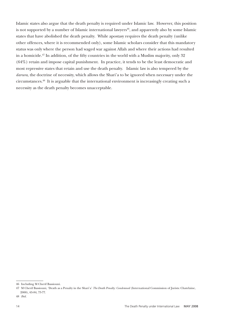Islamic states also argue that the death penalty is required under Islamic law. However, this position is not supported by a number of Islamic international lawyers $46$ , and apparently also by some Islamic states that have abolished the death penalty. While apostasy requires the death penalty (unlike other offences, where it is recommended only), some Islamic scholars consider that this mandatory status was only where the person had waged war against Allah and where their actions had resulted in a homicide.<sup>47</sup> In addition, of the fifty countries in the world with a Muslim majority, only 32 (64%) retain and impose capital punishment. In practice, it tends to be the least democratic and most repressive states that retain and use the death penalty. Islamic law is also tempered by the *darura*, the doctrine of necessity, which allows the Shari'a to be ignored when necessary under the circumstances.48 It is arguable that the international environment is increasingly creating such a necessity as the death penalty becomes unacceptable.

<sup>46</sup> Including M Cherif Bassiouni.

<sup>47</sup> M Cherif Bassiouni, 'Death as a Penalty in the Shari'a' *The Death Penalty: Condemned* (International Commission of Jurists: Chatelaine, 2000), 65-84, 73-77.

<sup>48</sup> *Ibid.*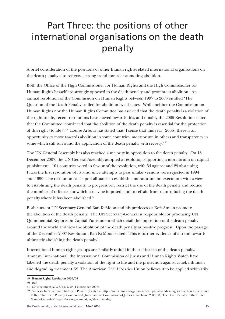# Part Three: the positions of other international organisations on the death penalty

A brief consideration of the positions of other human rights-related international organisations on the death penalty also reflects a strong trend towards promoting abolition.

Both the Office of the High Commissioner for Human Rights and the High Commissioner for Human Rights herself are strongly opposed to the death penalty and promote it abolition. An annual resolution of the Commission on Human Rights between 1997 to 2005 entitled 'The Question of the Death Penalty' called for abolition by all states. While neither the Commission on Human Rights nor the Human Rights Committee has asserted that the death penalty is a violation of the right to life, recent resolutions have moved towards this, and notably the 2005 Resolution stated that the Committee 'convinced that the abolition of the death penalty is essential for the protection of this right [to life]'.49 Louise Arbour has stated that 'I sense that this year [2006] there is an opportunity to move towards abolition in some countries, moratorium in others and transparency in some which still surround the application of the death penalty with secrecy.' 50

The UN General Assembly has also reached a majority in opposition to the death penalty. On 18 December 2007, the UN General Assembly adopted a resolution supporting a moratorium on capital punishment. 104 countries voted in favour of the resolution, with 54 against and 29 abstaining. It was the first resolution of its kind since attempts to pass similar versions were rejected in 1994 and 1999. The resolution calls upon all states to establish a moratorium on executions with a view to establishing the death penalty, to progressively restrict the use of the death penalty and reduce the number of offences for which it may be imposed, and to refrain from reintroducing the death penalty where it has been abolished.<sup>51</sup>

Both current UN Secretary-General Ban Ki-Moon and his predecessor Kofi Annan promote the abolition of the death penalty. The UN Secretary-General is responsible for producing UN Quinquennial Reports on Capital Punishment which detail the imposition of the death penalty around the world and view the abolition of the death penalty as positive progress. Upon the passage of the December 2007 Resolution, Ban Ki-Moon stated: 'This is further evidence of a trend towards ultimately abolishing the death penalty'.

International human rights groups are similarly united in their criticism of the death penalty. Amnesty International, the International Commission of Jurists and Human Rights Watch have labelled the death penalty a violation of the right to life and the protection against cruel, inhuman and degrading treatment. 52 The American Civil Liberties Union believes it to be applied arbitrarily

<sup>49</sup> Human Rights Resolution 2005/59

<sup>50</sup> *Ibid.*

<sup>51</sup> UN Document A/C.3/62/L.29 (1 November 2007)

<sup>52</sup> Amnesty International The Death Penalty (located at http://web.amnesty.org/pages/deathpenalty-index-eng accessed on 21 February 2007). The Death Penalty: Condemned (International Commission of Jurists: Chatelaine, 2000), 8; 'The Death Penalty in the United States of America' http://hrw.org/campaigns/deathpenalty;